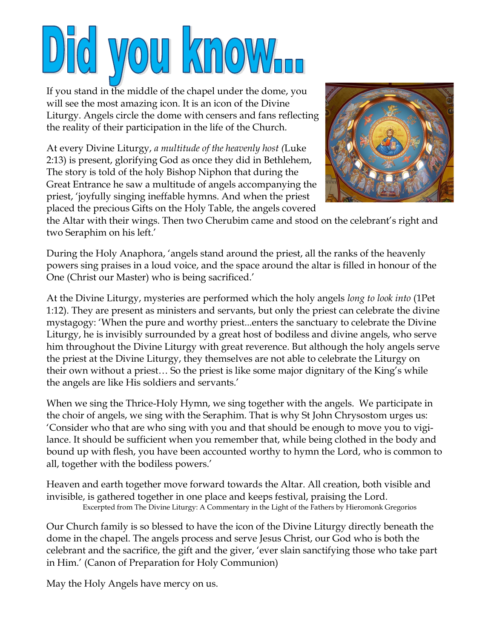## **NOW**O  $\mathbb{Z}$  No

If you stand in the middle of the chapel under the dome, you will see the most amazing icon. It is an icon of the Divine Liturgy. Angels circle the dome with censers and fans reflecting the reality of their participation in the life of the Church.

At every Divine Liturgy, *a multitude of the heavenly host (*Luke 2:13) is present, glorifying God as once they did in Bethlehem, The story is told of the holy Bishop Niphon that during the Great Entrance he saw a multitude of angels accompanying the priest, 'joyfully singing ineffable hymns. And when the priest placed the precious Gifts on the Holy Table, the angels covered



the Altar with their wings. Then two Cherubim came and stood on the celebrant's right and two Seraphim on his left.'

During the Holy Anaphora, 'angels stand around the priest, all the ranks of the heavenly powers sing praises in a loud voice, and the space around the altar is filled in honour of the One (Christ our Master) who is being sacrificed.'

At the Divine Liturgy, mysteries are performed which the holy angels *long to look into* (1Pet 1:12). They are present as ministers and servants, but only the priest can celebrate the divine mystagogy: 'When the pure and worthy priest...enters the sanctuary to celebrate the Divine Liturgy, he is invisibly surrounded by a great host of bodiless and divine angels, who serve him throughout the Divine Liturgy with great reverence. But although the holy angels serve the priest at the Divine Liturgy, they themselves are not able to celebrate the Liturgy on their own without a priest… So the priest is like some major dignitary of the King's while the angels are like His soldiers and servants.'

When we sing the Thrice-Holy Hymn, we sing together with the angels. We participate in the choir of angels, we sing with the Seraphim. That is why St John Chrysostom urges us: 'Consider who that are who sing with you and that should be enough to move you to vigilance. It should be sufficient when you remember that, while being clothed in the body and bound up with flesh, you have been accounted worthy to hymn the Lord, who is common to all, together with the bodiless powers.'

Heaven and earth together move forward towards the Altar. All creation, both visible and invisible, is gathered together in one place and keeps festival, praising the Lord. Excerpted from The Divine Liturgy: A Commentary in the Light of the Fathers by Hieromonk Gregorios

Our Church family is so blessed to have the icon of the Divine Liturgy directly beneath the dome in the chapel. The angels process and serve Jesus Christ, our God who is both the celebrant and the sacrifice, the gift and the giver, 'ever slain sanctifying those who take part in Him.' (Canon of Preparation for Holy Communion)

May the Holy Angels have mercy on us.